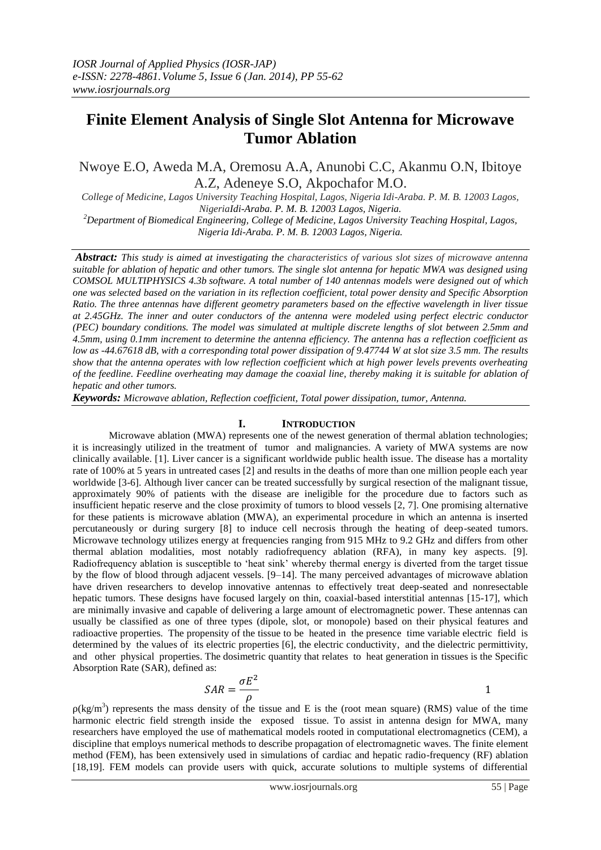# **Finite Element Analysis of Single Slot Antenna for Microwave Tumor Ablation**

# Nwoye E.O, Aweda M.A, Oremosu A.A, Anunobi C.C, Akanmu O.N, Ibitoye A.Z, Adeneye S.O, Akpochafor M.O.

*College of Medicine, Lagos University Teaching Hospital, Lagos, Nigeria Idi-Araba. P. M. B. 12003 Lagos, NigeriaIdi-Araba. P. M. B. 12003 Lagos, Nigeria.*

*<sup>2</sup>Department of Biomedical Engineering, College of Medicine, Lagos University Teaching Hospital, Lagos, Nigeria Idi-Araba. P. M. B. 12003 Lagos, Nigeria.*

*Abstract: This study is aimed at investigating the characteristics of various slot sizes of microwave antenna suitable for ablation of hepatic and other tumors. The single slot antenna for hepatic MWA was designed using COMSOL MULTIPHYSICS 4.3b software. A total number of 140 antennas models were designed out of which one was selected based on the variation in its reflection coefficient, total power density and Specific Absorption Ratio. The three antennas have different geometry parameters based on the effective wavelength in liver tissue at 2.45GHz. The inner and outer conductors of the antenna were modeled using perfect electric conductor (PEC) boundary conditions. The model was simulated at multiple discrete lengths of slot between 2.5mm and 4.5mm, using 0.1mm increment to determine the antenna efficiency. The antenna has a reflection coefficient as low as -44.67618 dB, with a corresponding total power dissipation of 9.47744 W at slot size 3.5 mm. The results show that the antenna operates with low reflection coefficient which at high power levels prevents overheating of the feedline. Feedline overheating may damage the coaxial line, thereby making it is suitable for ablation of hepatic and other tumors.*

*Keywords: Microwave ablation, Reflection coefficient, Total power dissipation, tumor, Antenna.*

# **I. INTRODUCTION**

Microwave ablation (MWA) represents one of the newest generation of thermal ablation technologies; it is increasingly utilized in the treatment of tumor and malignancies. A variety of MWA systems are now clinically available. [1]. Liver cancer is a significant worldwide public health issue. The disease has a mortality rate of 100% at 5 years in untreated cases [2] and results in the deaths of more than one million people each year worldwide [3-6]. Although liver cancer can be treated successfully by surgical resection of the malignant tissue, approximately 90% of patients with the disease are ineligible for the procedure due to factors such as insufficient hepatic reserve and the close proximity of tumors to blood vessels [2, 7]. One promising alternative for these patients is microwave ablation (MWA), an experimental procedure in which an antenna is inserted percutaneously or during surgery [8] to induce cell necrosis through the heating of deep-seated tumors. Microwave technology utilizes energy at frequencies ranging from 915 MHz to 9.2 GHz and differs from other thermal ablation modalities, most notably radiofrequency ablation (RFA), in many key aspects. [9]. Radiofrequency ablation is susceptible to "heat sink" whereby thermal energy is diverted from the target tissue by the flow of blood through adjacent vessels. [9–14]. The many perceived advantages of microwave ablation have driven researchers to develop innovative antennas to effectively treat deep-seated and nonresectable hepatic tumors. These designs have focused largely on thin, coaxial-based interstitial antennas [15-17], which are minimally invasive and capable of delivering a large amount of electromagnetic power. These antennas can usually be classified as one of three types (dipole, slot, or monopole) based on their physical features and radioactive properties. The propensity of the tissue to be heated in the presence time variable electric field is determined by the values of its electric properties [6], the electric conductivity, and the dielectric permittivity, and other physical properties. The dosimetric quantity that relates to heat generation in tissues is the Specific Absorption Rate (SAR), defined as:

$$
SAR = \frac{\sigma E^2}{\rho} \tag{1}
$$

 $p(\text{kg/m}^3)$  represents the mass density of the tissue and E is the (root mean square) (RMS) value of the time harmonic electric field strength inside the exposed tissue. To assist in antenna design for MWA, many researchers have employed the use of mathematical models rooted in computational electromagnetics (CEM), a discipline that employs numerical methods to describe propagation of electromagnetic waves. The finite element method (FEM), has been extensively used in simulations of cardiac and hepatic radio-frequency (RF) ablation [18,19]. FEM models can provide users with quick, accurate solutions to multiple systems of differential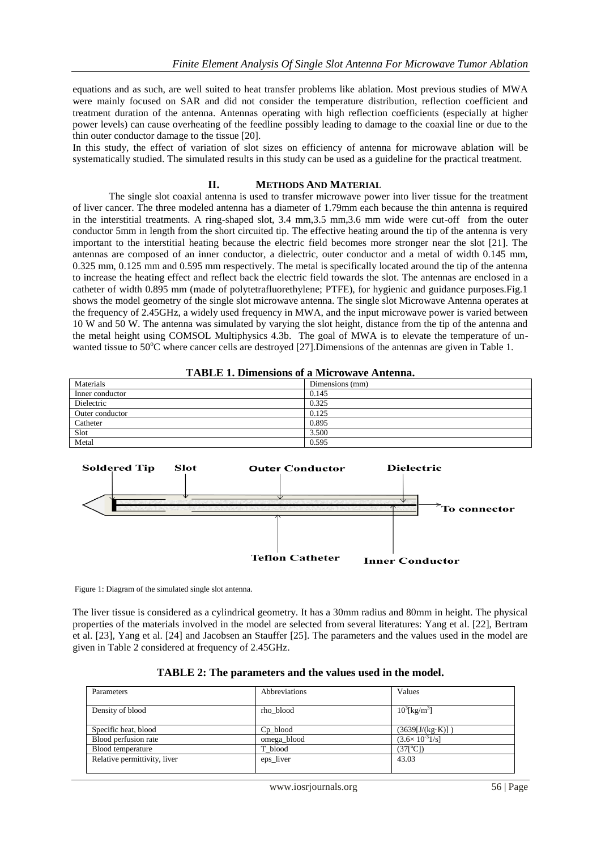equations and as such, are well suited to heat transfer problems like ablation. Most previous studies of MWA were mainly focused on SAR and did not consider the temperature distribution, reflection coefficient and treatment duration of the antenna. Antennas operating with high reflection coefficients (especially at higher power levels) can cause overheating of the feedline possibly leading to damage to the coaxial line or due to the thin outer conductor damage to the tissue [20].

In this study, the effect of variation of slot sizes on efficiency of antenna for microwave ablation will be systematically studied. The simulated results in this study can be used as a guideline for the practical treatment.

#### **II. METHODS AND MATERIAL**

The single slot coaxial antenna is used to transfer microwave power into liver tissue for the treatment of liver cancer. The three modeled antenna has a diameter of 1.79mm each because the thin antenna is required in the interstitial treatments. A ring-shaped slot, 3.4 mm,3.5 mm,3.6 mm wide were cut-off from the outer conductor 5mm in length from the short circuited tip. The effective heating around the tip of the antenna is very important to the interstitial heating because the electric field becomes more stronger near the slot [21]. The antennas are composed of an inner conductor, a dielectric, outer conductor and a metal of width 0.145 mm, 0.325 mm, 0.125 mm and 0.595 mm respectively. The metal is specifically located around the tip of the antenna to increase the heating effect and reflect back the electric field towards the slot. The antennas are enclosed in a catheter of width 0.895 mm (made of polytetrafluorethylene; PTFE), for hygienic and guidance purposes.Fig.1 shows the model geometry of the single slot microwave antenna. The single slot Microwave Antenna operates at the frequency of 2.45GHz, a widely used frequency in MWA, and the input microwave power is varied between 10 W and 50 W. The antenna was simulated by varying the slot height, distance from the tip of the antenna and the metal height using COMSOL Multiphysics 4.3b. The goal of MWA is to elevate the temperature of unwanted tissue to 50°C where cancer cells are destroyed [27]. Dimensions of the antennas are given in Table 1.

| <b>TABLE 1. Dimensions of a Microwave Antenna.</b> |  |  |
|----------------------------------------------------|--|--|
|----------------------------------------------------|--|--|

| Materials       | Dimensions (mm) |
|-----------------|-----------------|
| Inner conductor | 0.145           |
| Dielectric      | 0.325           |
| Outer conductor | 0.125           |
| Catheter        | 0.895           |
| Slot            | 3.500           |
| Metal           | 0.595           |



Figure 1: Diagram of the simulated single slot antenna.

The liver tissue is considered as a cylindrical geometry. It has a 30mm radius and 80mm in height. The physical properties of the materials involved in the model are selected from several literatures: Yang et al. [22], Bertram et al. [23], Yang et al. [24] and Jacobsen an Stauffer [25]. The parameters and the values used in the model are given in Table 2 considered at frequency of 2.45GHz.

| Parameters                   | Abbreviations  | Values                                    |
|------------------------------|----------------|-------------------------------------------|
|                              |                |                                           |
| Density of blood             | rho blood      | $10^{3}$ [kg/m <sup>3</sup> ]             |
|                              |                |                                           |
| Specific heat, blood         | $Cp_{1}$ blood | $(3639[J/(kg·K)]$ )                       |
| Blood perfusion rate         | omega_blood    | $(3.6 \times 10^{-3} \frac{1}{\text{s}})$ |
| Blood temperature            | T blood        | $(37[^{\circ}C])$                         |
| Relative permittivity, liver | eps_liver      | 43.03                                     |
|                              |                |                                           |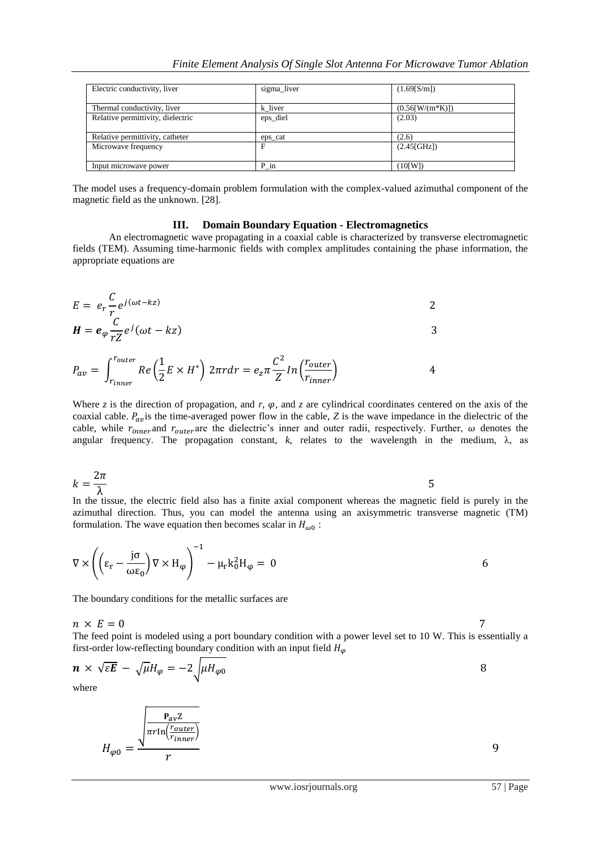| Electric conductivity, liver      | sigma_liver | (1.69[S/m])               |
|-----------------------------------|-------------|---------------------------|
| Thermal conductivity, liver       | k liver     | $(0.56 \text{[W/(m*K)]})$ |
| Relative permittivity, dielectric | eps_diel    | (2.03)                    |
| Relative permittivity, catheter   | eps cat     | (2.6)                     |
| Microwave frequency               |             | (2.45[GHz])               |
| Input microwave power             | P in        | (10[W])                   |

The model uses a frequency-domain problem formulation with the complex-valued azimuthal component of the magnetic field as the unknown. [28].

### **III. Domain Boundary Equation - Electromagnetics**

An electromagnetic wave propagating in a coaxial cable is characterized by transverse electromagnetic fields (TEM). Assuming time-harmonic fields with complex amplitudes containing the phase information, the appropriate equations are

$$
E = e_r \frac{C}{r_c} e^{j(\omega t - kz)}
$$

$$
H = e_{\varphi} \frac{C}{rZ} e^{j} (\omega t - kz)
$$

$$
P_{av} = \int_{r_{inner}}^{r_{outer}} Re\left(\frac{1}{2}E \times H^*\right) 2\pi r dr = e_z \pi \frac{C^2}{Z} ln\left(\frac{r_{outer}}{r_{inner}}\right)
$$
 4

Where *z* is the direction of propagation, and *r*,  $\varphi$ , and *z* are cylindrical coordinates centered on the axis of the coaxial cable.  $P_{av}$  is the time-averaged power flow in the cable, *Z* is the wave impedance in the dielectric of the cable, while  $r_{inner}$  and  $r_{outer}$  are the dielectric's inner and outer radii, respectively. Further,  $\omega$  denotes the angular frequency. The propagation constant, *k*, relates to the wavelength in the medium, λ, as

$$
k = \frac{2\pi}{\lambda}
$$
 5

In the tissue, the electric field also has a finite axial component whereas the magnetic field is purely in the azimuthal direction. Thus, you can model the antenna using an axisymmetric transverse magnetic (TM) formulation. The wave equation then becomes scalar in  $H_{\omega 0}$ :

$$
\nabla \times \left( \left( \varepsilon_r - \frac{j\sigma}{\omega \varepsilon_0} \right) \nabla \times H_\phi \right)^{-1} - \mu_r k_0^2 H_\phi = 0
$$

The boundary conditions for the metallic surfaces are

 $n \times E = 0$ 7

The feed point is modeled using a port boundary condition with a power level set to 10 W. This is essentially a first-order low-reflecting boundary condition with an input field  $H_{\omega}$ 

$$
\mathbf{n} \times \sqrt{\varepsilon} \mathbf{E} - \sqrt{\mu} H_{\varphi} = -2 \sqrt{\mu H_{\varphi 0}}
$$

where

$$
H_{\varphi 0} = \frac{\sqrt{\frac{P_{\text{av}}Z}{\pi r \ln(\frac{r_{outer}}{r_{inner}})}}}{r}
$$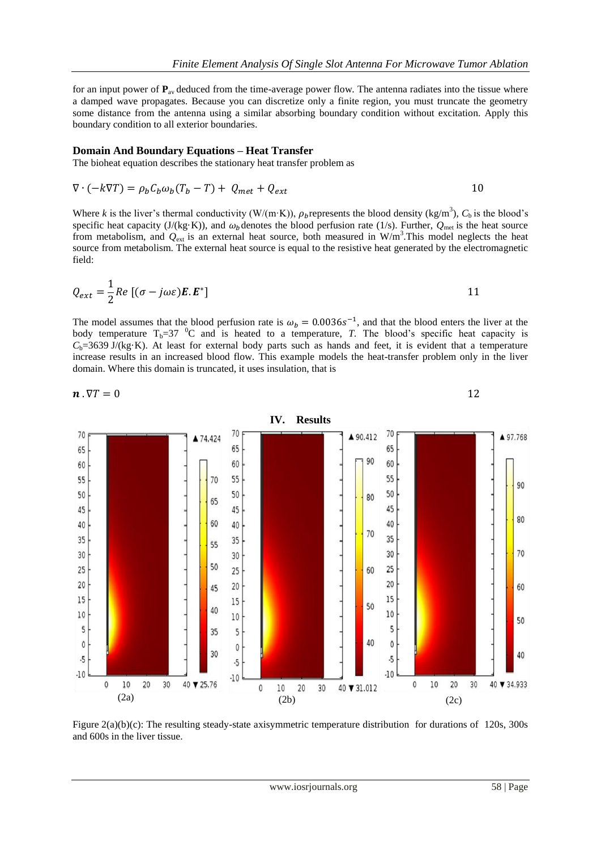for an input power of  $P_{av}$  deduced from the time-average power flow. The antenna radiates into the tissue where a damped wave propagates. Because you can discretize only a finite region, you must truncate the geometry some distance from the antenna using a similar absorbing boundary condition without excitation. Apply this boundary condition to all exterior boundaries.

#### **Domain And Boundary Equations – Heat Transfer**

The bioheat equation describes the stationary heat transfer problem as

$$
\nabla \cdot (-k\nabla T) = \rho_b C_b \omega_b (T_b - T) + Q_{met} + Q_{ext}
$$

Where *k* is the liver's thermal conductivity (W/(m·K)),  $\rho_b$  represents the blood density (kg/m<sup>3</sup>),  $C_b$  is the blood's specific heat capacity (J/(kg·K)), and  $\omega_b$  denotes the blood perfusion rate (1/s). Further,  $Q_{\text{met}}$  is the heat source from metabolism, and  $Q_{ext}$  is an external heat source, both measured in W/m<sup>3</sup>. This model neglects the heat source from metabolism. The external heat source is equal to the resistive heat generated by the electromagnetic field:

$$
Q_{ext} = \frac{1}{2} Re \left[ (\sigma - j\omega \varepsilon) \mathbf{E} \cdot \mathbf{E}^* \right]
$$

The model assumes that the blood perfusion rate is  $\omega_b = 0.0036s^{-1}$ , and that the blood enters the liver at the body temperature  $T_b=37$  <sup>o</sup>C and is heated to a temperature, *T*. The blood's specific heat capacity is  $C_b$ =3639 J/(kg·K). At least for external body parts such as hands and feet, it is evident that a temperature increase results in an increased blood flow. This example models the heat-transfer problem only in the liver domain. Where this domain is truncated, it uses insulation, that is

$$
\boldsymbol{n}\,.\,\nabla T=0
$$

12



Figure 2(a)(b)(c): The resulting steady-state axisymmetric temperature distribution for durations of 120s, 300s and 600s in the liver tissue.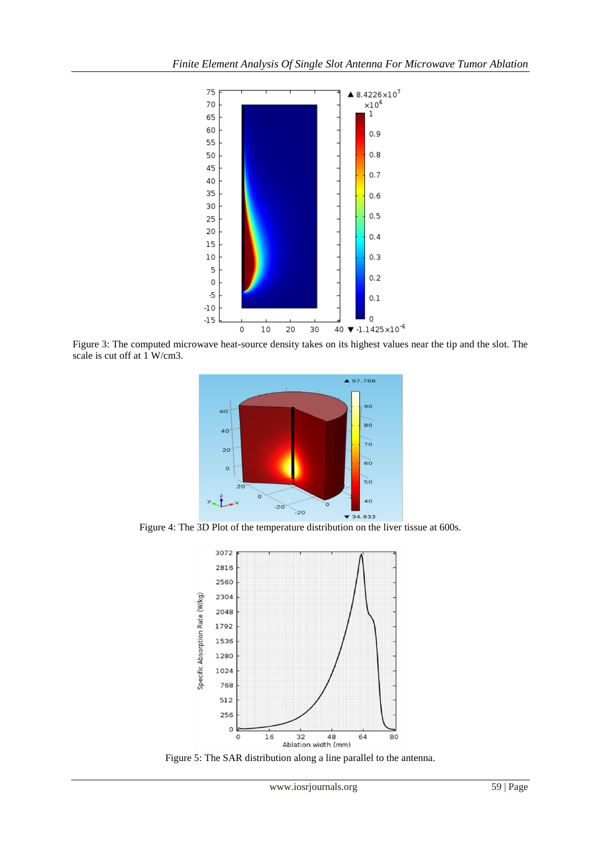

Figure 3: The computed microwave heat-source density takes on its highest values near the tip and the slot. The scale is cut off at 1 W/cm3.



Figure 4: The 3D Plot of the temperature distribution on the liver tissue at 600s.



Figure 5: The SAR distribution along a line parallel to the antenna.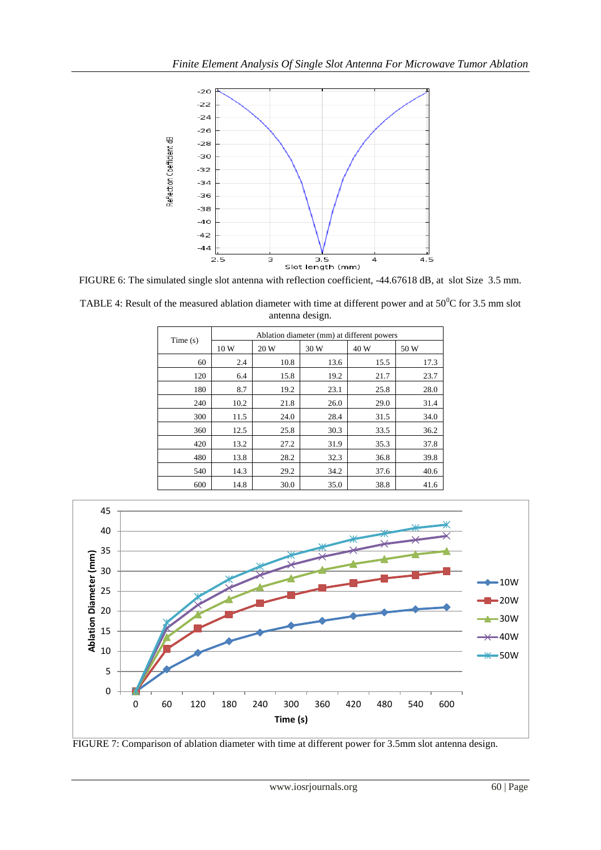

FIGURE 6: The simulated single slot antenna with reflection coefficient, -44.67618 dB, at slot Size 3.5 mm.

| TABLE 4: Result of the measured ablation diameter with time at different power and at $50^{\circ}$ C for 3.5 mm slot |
|----------------------------------------------------------------------------------------------------------------------|
| antenna design.                                                                                                      |

| Time(s) | Ablation diameter (mm) at different powers |      |      |      |      |
|---------|--------------------------------------------|------|------|------|------|
|         | 10 W                                       | 20 W | 30 W | 40 W | 50 W |
| 60      | 2.4                                        | 10.8 | 13.6 | 15.5 | 17.3 |
| 120     | 6.4                                        | 15.8 | 19.2 | 21.7 | 23.7 |
| 180     | 8.7                                        | 19.2 | 23.1 | 25.8 | 28.0 |
| 240     | 10.2                                       | 21.8 | 26.0 | 29.0 | 31.4 |
| 300     | 11.5                                       | 24.0 | 28.4 | 31.5 | 34.0 |
| 360     | 12.5                                       | 25.8 | 30.3 | 33.5 | 36.2 |
| 420     | 13.2                                       | 27.2 | 31.9 | 35.3 | 37.8 |
| 480     | 13.8                                       | 28.2 | 32.3 | 36.8 | 39.8 |
| 540     | 14.3                                       | 29.2 | 34.2 | 37.6 | 40.6 |
| 600     | 14.8                                       | 30.0 | 35.0 | 38.8 | 41.6 |



FIGURE 7: Comparison of ablation diameter with time at different power for 3.5mm slot antenna design.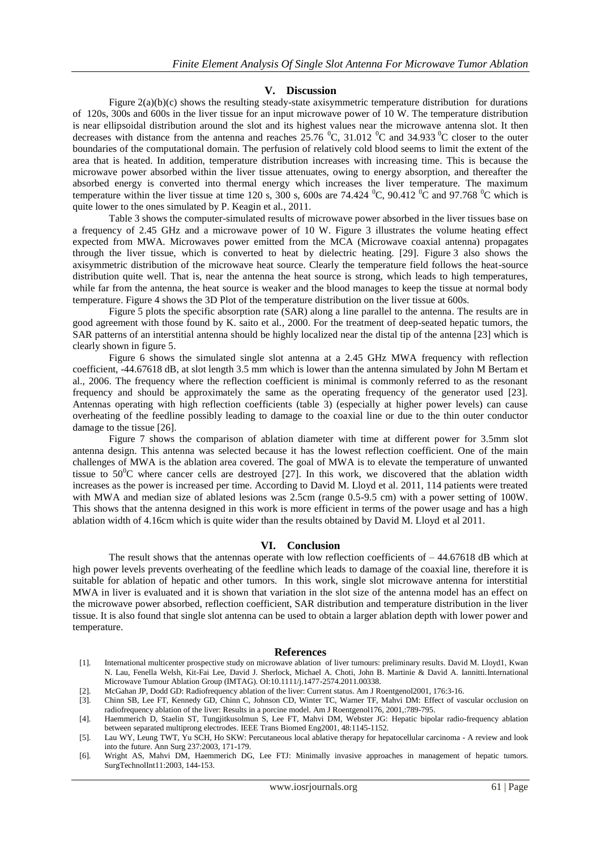# **V. Discussion**

Figure 2(a)(b)(c) shows the resulting steady-state axisymmetric temperature distribution for durations of 120s, 300s and 600s in the liver tissue for an input microwave power of 10 W. The temperature distribution is near ellipsoidal distribution around the slot and its highest values near the microwave antenna slot. It then decreases with distance from the antenna and reaches  $25.76\text{ °C}$ ,  $31.012\text{ °C}$  and  $34.933\text{ °C}$  closer to the outer boundaries of the computational domain. The perfusion of relatively cold blood seems to limit the extent of the area that is heated. In addition, temperature distribution increases with increasing time. This is because the microwave power absorbed within the liver tissue attenuates, owing to energy absorption, and thereafter the absorbed energy is converted into thermal energy which increases the liver temperature. The maximum temperature within the liver tissue at time 120 s, 300 s, 600s are 74.424  $^{\circ}$ C, 90.412  $^{\circ}$ C and 97.768  $^{\circ}$ C which is quite lower to the ones simulated by P. Keagin et al., 2011.

Table 3 shows the computer-simulated results of microwave power absorbed in the liver tissues base on a frequency of 2.45 GHz and a microwave power of 10 W. Figure 3 illustrates the volume heating effect expected from MWA. Microwaves power emitted from the MCA (Microwave coaxial antenna) propagates through the liver tissue, which is converted to heat by dielectric heating. [29]. Figure 3 also shows the axisymmetric distribution of the microwave heat source. Clearly the temperature field follows the heat-source distribution quite well. That is, near the antenna the heat source is strong, which leads to high temperatures, while far from the antenna, the heat source is weaker and the blood manages to keep the tissue at normal body temperature. Figure 4 shows the 3D Plot of the temperature distribution on the liver tissue at 600s.

Figure 5 plots the specific absorption rate (SAR) along a line parallel to the antenna. The results are in good agreement with those found by K. saito et al., 2000. For the treatment of deep-seated hepatic tumors, the SAR patterns of an interstitial antenna should be highly localized near the distal tip of the antenna [23] which is clearly shown in figure 5.

Figure 6 shows the simulated single slot antenna at a 2.45 GHz MWA frequency with reflection coefficient, -44.67618 dB, at slot length 3.5 mm which is lower than the antenna simulated by John M Bertam et al., 2006. The frequency where the reflection coefficient is minimal is commonly referred to as the resonant frequency and should be approximately the same as the operating frequency of the generator used [23]. Antennas operating with high reflection coefficients (table 3) (especially at higher power levels) can cause overheating of the feedline possibly leading to damage to the coaxial line or due to the thin outer conductor damage to the tissue [26].

Figure 7 shows the comparison of ablation diameter with time at different power for 3.5mm slot antenna design. This antenna was selected because it has the lowest reflection coefficient. One of the main challenges of MWA is the ablation area covered. The goal of MWA is to elevate the temperature of unwanted tissue to  $50^{\circ}$ C where cancer cells are destroyed [27]. In this work, we discovered that the ablation width increases as the power is increased per time. According to David M. Lloyd et al. 2011, 114 patients were treated with MWA and median size of ablated lesions was 2.5cm (range 0.5-9.5 cm) with a power setting of 100W. This shows that the antenna designed in this work is more efficient in terms of the power usage and has a high ablation width of 4.16cm which is quite wider than the results obtained by David M. Lloyd et al 2011.

#### **VI. Conclusion**

The result shows that the antennas operate with low reflection coefficients of  $-44.67618$  dB which at high power levels prevents overheating of the feedline which leads to damage of the coaxial line, therefore it is suitable for ablation of hepatic and other tumors. In this work, single slot microwave antenna for interstitial MWA in liver is evaluated and it is shown that variation in the slot size of the antenna model has an effect on the microwave power absorbed, reflection coefficient, SAR distribution and temperature distribution in the liver tissue. It is also found that single slot antenna can be used to obtain a larger ablation depth with lower power and temperature.

#### **References**

- [1]. International multicenter prospective study on microwave ablation of liver tumours: preliminary results. David M. Lloyd1, Kwan N. Lau, Fenella Welsh, Kit-Fai Lee, David J. Sherlock, Michael A. Choti, John B. Martinie & David A. Iannitti.International Microwave Tumour Ablation Group (IMTAG). OI:10.1111/j.1477-2574.2011.00338.
- [2]. McGahan JP, Dodd GD: Radiofrequency ablation of the liver: Current status. Am J Roentgenol2001, 176:3-16.
- [3]. Chinn SB, Lee FT, Kennedy GD, Chinn C, Johnson CD, Winter TC, Warner TF, Mahvi DM: Effect of vascular occlusion on radiofrequency ablation of the liver: Results in a porcine model. Am J Roentgenol176, 2001,:789-795.

<sup>[4].</sup> Haemmerich D, Staelin ST, Tungjitkusolmun S, Lee FT, Mahvi DM, Webster JG: Hepatic bipolar radio-frequency ablation between separated multiprong electrodes. IEEE Trans Biomed Eng2001, 48:1145-1152.

<sup>[5].</sup> Lau WY, Leung TWT, Yu SCH, Ho SKW: Percutaneous local ablative therapy for hepatocellular carcinoma - A review and look into the future. Ann Surg 237:2003, 171-179.

<sup>[6].</sup> Wright AS, Mahvi DM, Haemmerich DG, Lee FTJ: Minimally invasive approaches in management of hepatic tumors. SurgTechnolInt11:2003, 144-153.